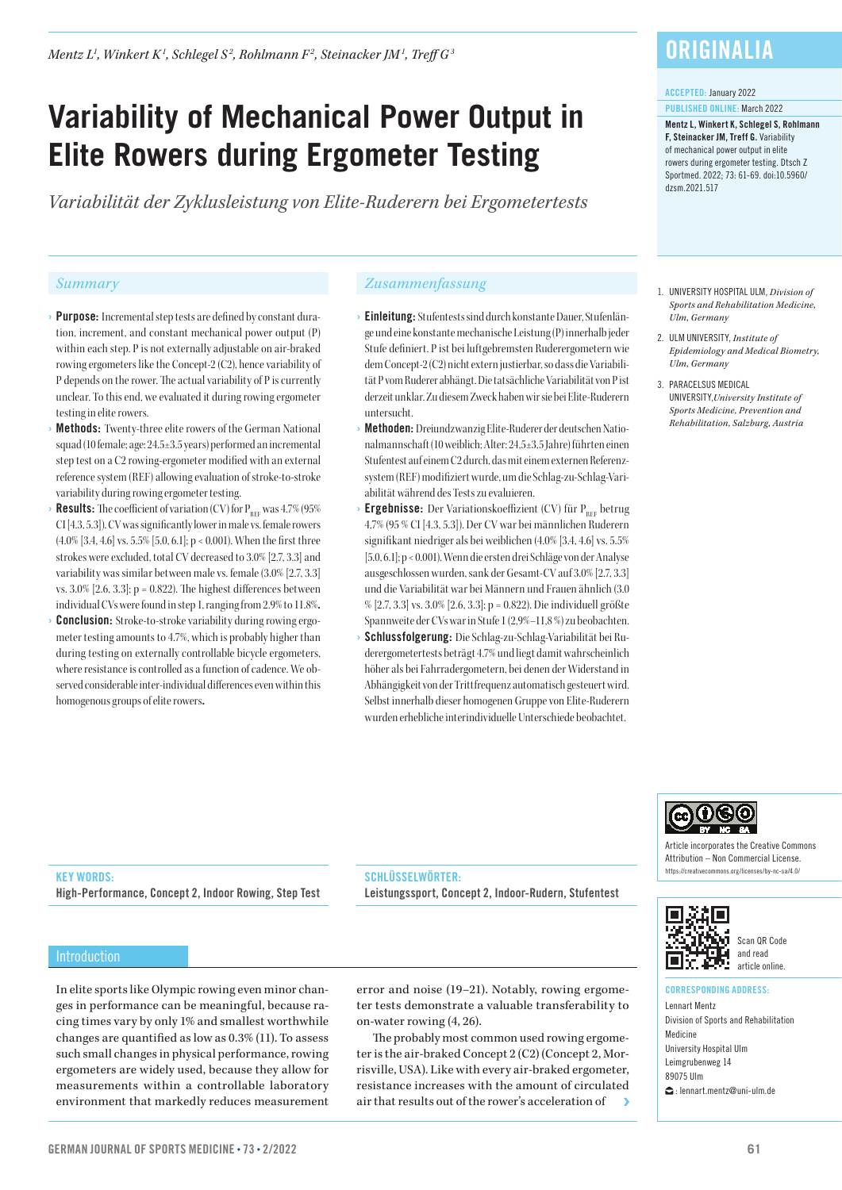*Mentz L1 , Winkert K1 , Schlegel S <sup>2</sup> , Rohlmann F2 , Steinacker JM1 , Treff G3*

# **Variability of Mechanical Power Output in Elite Rowers during Ergometer Testing**

*Variabilität der Zyklusleistung von Elite-Ruderern bei Ergometertests*

- › Purpose: Incremental step tests are defined by constant duration, increment, and constant mechanical power output (P) within each step. P is not externally adjustable on air-braked rowing ergometers like the Concept-2 (C2), hence variability of P depends on the rower. The actual variability of P is currently unclear. To this end, we evaluated it during rowing ergometer testing in elite rowers.
- **Methods:** Twenty-three elite rowers of the German National squad (10 female; age: 24.5±3.5 years) performed an incremental step test on a C2 rowing-ergometer modified with an external reference system (REF) allowingevaluation of stroke-to-stroke variability during rowing ergometer testing.
- **Results:** The coefficient of variation (CV) for  $P_{REF}$  was 4.7% (95%) CI [4.3, 5.3]). CV was significantly lower in male vs. female rowers (4.0% [3.4, 4.6] vs.  $5.5\%$  [5.0, 6.1]; p < 0.001). When the first three strokes were excluded, total CV decreased to 3.0% [2.7, 3.3] and variability was similar between male vs. female (3.0% [2.7, 3.3] vs.  $3.0\%$  [2.6,  $3.3$ ]; p = 0.822). The highest differences between individual CVs were found in step 1, ranging from 2.9% to 11.8%.
- **Conclusion:** Stroke-to-stroke variability during rowing ergometer testing amounts to 4.7%, which is probably higher than during testing on externally controllable bicycle ergometers, where resistance is controlled as a function of cadence. We observed considerable inter-individual differences even within this homogenous groups of elite rowers.

# *Summary Zusammenfassung*

- › Einleitung: Stufentests sind durch konstante Dauer, Stufenlänge und eine konstante mechanische Leistung (P) innerhalb jeder Stufe definiert. P ist bei luftgebremsten Ruderergometern wie dem Concept-2 (C2) nicht extern justierbar, so dass die Variabilität P vom Ruderer abhängt. Die tatsächliche Variabilität von P ist derzeit unklar. Zu diesem Zweck haben wir sie bei Elite-Ruderern untersucht.
- › Methoden: Dreiundzwanzig Elite-Ruderer der deutschen Nationalmannschaft (10 weiblich; Alter: 24,5±3,5 Jahre) führten einen Stufentest auf einem C2 durch, das mit einem externen Referenzsystem (REF) modifiziert wurde, um die Schlag-zu-Schlag-Variabilität während des Tests zu evaluieren.
- $\rightarrow$  Ergebnisse: Der Variationskoeffizient (CV) für P<sub>REF</sub> betrug 4,7% (95 % CI [4.3, 5.3]). Der CV war bei männlichen Ruderern signifikant niedriger als bei weiblichen (4.0% [3.4, 4.6] vs. 5.5% [5.0, 6.1]; p < 0.001). Wenn die ersten drei Schläge von der Analyse ausgeschlossen wurden, sank der Gesamt-CV auf 3.0% [2.7, 3.3] und die Variabilität war bei Männern und Frauen ähnlich (3.0 % [2.7, 3.3] vs. 3.0% [2.6, 3.3]; p = 0.822). Die individuell größte Spannweite der CVs war in Stufe 1 (2,9%–11,8 %) zu beobachten.
- Schlussfolgerung: Die Schlag-zu-Schlag-Variabilität bei Ruderergometertests beträgt 4.7% und liegt damit wahrscheinlich höher als bei Fahrradergometern, bei denen der Widerstand in Abhängigkeit von der Trittfrequenz automatisch gesteuert wird. Selbst innerhalb dieser homogenen Gruppe von Elite-Ruderern wurden erhebliche interindividuelle Unterschiede beobachtet.

# **ORIGINALIA**

#### ACCEPTED: January 2022

PUBLISHED ONLINE: March 2022

Mentz L, Winkert K, Schlegel S, Rohlmann F, Steinacker JM, Treff G. Variability of mechanical power output in elite rowers during ergometer testing. Dtsch Z Sportmed. 2022; 73: 61-69. doi:10.5960/ dzsm.2021.517

- 1. UNIVERSITY HOSPITAL ULM, *Division of Sports and Rehabilitation Medicine, Ulm, Germany*
- 2. ULM UNIVERSITY, *Institute of Epidemiology and Medical Biometry, Ulm, Germany*
- 3. PARACELSUS MEDICAL UNIVERSITY,*University Institute of Sports Medicine, Prevention and Rehabilitation, Salzburg, Austria*



Article incorporates the Creative Commons Attribution – Non Commercial License. https://creativecommons.org/licenses/by-nc-sa/4.0/



### Scan QR Code and read article online.

#### CORRESPONDING ADDRESS: Lennart Mentz

Division of Sports and Rehabilitation Medicine University Hospital Ulm Leimgrubenweg 14 89075 Ulm : lennart.mentz@uni-ulm.de

# KEY WORDS:

High-Performance, Concept 2, Indoor Rowing, Step Test

#### Introduction

In elite sports like Olympic rowing even minor changes in performance can be meaningful, because racing times vary by only 1% and smallest worthwhile changes are quantified as low as 0.3% (11). To assess such small changes in physical performance, rowing ergometers are widely used, because they allow for measurements within a controllable laboratory environment that markedly reduces measurement

error and noise (19–21). Notably, rowing ergometer tests demonstrate a valuable transferability to on-water rowing (4, 26).

Leistungssport, Concept 2, Indoor-Rudern, Stufentest

SCHLÜSSELWÖRTER-

The probably most common used rowing ergometer is the air-braked Concept 2 (C2) (Concept 2, Morrisville, USA). Like with every air-braked ergometer, resistance increases with the amount of circulated air that results out of the rower's acceleration of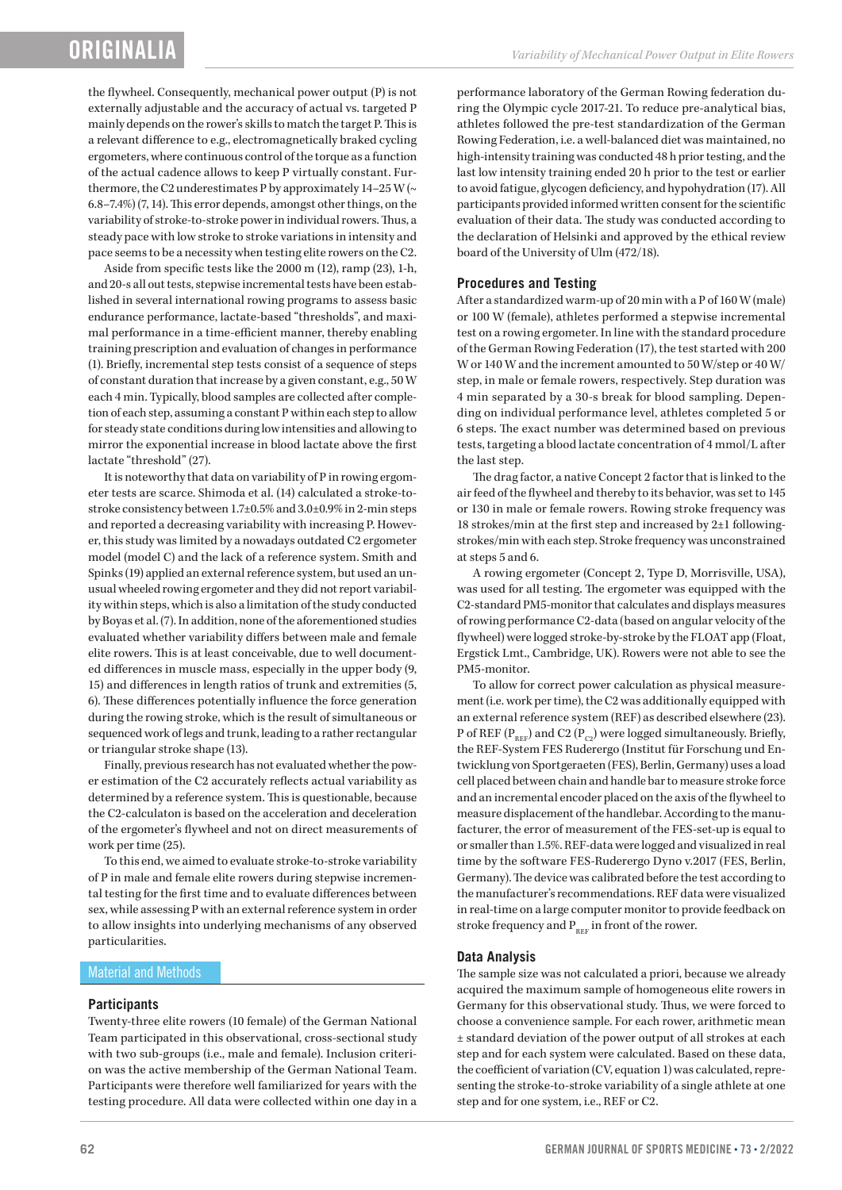# ORIGINALI/

the flywheel. Consequently, mechanical power output (P) is not externally adjustable and the accuracy of actual vs. targeted P mainly depends on the rower's skills to match the target P. This is a relevant difference to e.g., electromagnetically braked cycling ergometers, where continuous control of the torque as a function of the actual cadence allows to keep P virtually constant. Furthermore, the C2 underestimates P by approximately  $14-25$  W ( $\sim$ 6.8–7.4%) (7, 14). This error depends, amongst other things, on the variability of stroke-to-stroke power in individual rowers. Thus, a steady pace with low stroke to stroke variations in intensity and pace seems to be a necessity when testing elite rowers on the C2.

Aside from specific tests like the 2000 m (12), ramp (23), 1-h, and 20-s all out tests, stepwise incremental tests have been established in several international rowing programs to assess basic endurance performance, lactate-based "thresholds", and maximal performance in a time-efficient manner, thereby enabling training prescription and evaluation of changes in performance (1). Briefly, incremental step tests consist of a sequence of steps of constant duration that increase by a given constant, e.g., 50 W each 4 min. Typically, blood samples are collected after completion of each step, assuming a constant P within each step to allow for steady state conditions during low intensities and allowing to mirror the exponential increase in blood lactate above the first lactate "threshold" (27).

It is noteworthy that data on variability of P in rowing ergometer tests are scarce. Shimoda et al. (14) calculated a stroke-tostroke consistency between 1.7±0.5% and 3.0±0.9% in 2-min steps and reported a decreasing variability with increasing P. However, this study was limited by a nowadays outdated C2 ergometer model (model C) and the lack of a reference system. Smith and Spinks (19) applied an external reference system, but used an unusual wheeled rowing ergometer and they did not report variability within steps, which is also a limitation of the study conducted by Boyas et al. (7). In addition, none of the aforementioned studies evaluated whether variability differs between male and female elite rowers. This is at least conceivable, due to well documented differences in muscle mass, especially in the upper body (9, 15) and differences in length ratios of trunk and extremities (5, 6). These differences potentially influence the force generation during the rowing stroke, which is the result of simultaneous or sequenced work of legs and trunk, leading to a rather rectangular or triangular stroke shape (13).

Finally, previous research has not evaluated whether the power estimation of the C2 accurately reflects actual variability as determined by a reference system. This is questionable, because the C2-calculaton is based on the acceleration and deceleration of the ergometer's flywheel and not on direct measurements of work per time (25).

To this end, we aimed to evaluate stroke-to-stroke variability of P in male and female elite rowers during stepwise incremental testing for the first time and to evaluate differences between sex, while assessing P with an external reference system in order to allow insights into underlying mechanisms of any observed particularities.

#### Material and Methods

#### **Participants**

Twenty-three elite rowers (10 female) of the German National Team participated in this observational, cross-sectional study with two sub-groups (i.e., male and female). Inclusion criterion was the active membership of the German National Team. Participants were therefore well familiarized for years with the testing procedure. All data were collected within one day in a

performance laboratory of the German Rowing federation during the Olympic cycle 2017-21. To reduce pre-analytical bias, athletes followed the pre-test standardization of the German Rowing Federation, i.e. a well-balanced diet was maintained, no high-intensity training was conducted 48 h prior testing, and the last low intensity training ended 20 h prior to the test or earlier to avoid fatigue, glycogen deficiency, and hypohydration (17). All participants provided informed written consent for the scientific evaluation of their data. The study was conducted according to the declaration of Helsinki and approved by the ethical review board of the University of Ulm (472/18).

#### **Procedures and Testing**

After a standardized warm-up of 20 min with a P of 160 W (male) or 100 W (female), athletes performed a stepwise incremental test on a rowing ergometer. In line with the standard procedure of the German Rowing Federation (17), the test started with 200 W or 140 W and the increment amounted to 50 W/step or 40 W/ step, in male or female rowers, respectively. Step duration was 4 min separated by a 30-s break for blood sampling. Depending on individual performance level, athletes completed 5 or 6 steps. The exact number was determined based on previous tests, targeting a blood lactate concentration of 4 mmol/L after the last step.

The drag factor, a native Concept 2 factor that is linked to the air feed of the flywheel and thereby to its behavior, was set to 145 or 130 in male or female rowers. Rowing stroke frequency was 18 strokes/min at the first step and increased by 2±1 followingstrokes/min with each step. Stroke frequency was unconstrained at steps 5 and 6.

A rowing ergometer (Concept 2, Type D, Morrisville, USA), was used for all testing. The ergometer was equipped with the C2-standard PM5-monitor that calculates and displays measures of rowing performance C2-data (based on angular velocity of the flywheel) were logged stroke-by-stroke by the FLOAT app (Float, Ergstick Lmt., Cambridge, UK). Rowers were not able to see the PM5-monitor.

To allow for correct power calculation as physical measurement (i.e. work per time), the C2 was additionally equipped with an external reference system (REF) as described elsewhere (23). P of REF ( $P_{REF}$ ) and C2 ( $P_{C2}$ ) were logged simultaneously. Briefly, the REF-System FES Ruderergo (Institut für Forschung und Entwicklung von Sportgeraeten (FES), Berlin, Germany) uses a load cell placed between chain and handle bar to measure stroke force and an incremental encoder placed on the axis of the flywheel to measure displacement of the handlebar. According to the manufacturer, the error of measurement of the FES-set-up is equal to or smaller than 1.5%. REF-data were logged and visualized in real time by the software FES-Ruderergo Dyno v.2017 (FES, Berlin, Germany). The device was calibrated before the test according to the manufacturer's recommendations. REF data were visualized in real-time on a large computer monitor to provide feedback on stroke frequency and  $P_{REF}$  in front of the rower.

#### **Data Analysis**

The sample size was not calculated a priori, because we already acquired the maximum sample of homogeneous elite rowers in Germany for this observational study. Thus, we were forced to choose a convenience sample. For each rower, arithmetic mean ± standard deviation of the power output of all strokes at each step and for each system were calculated. Based on these data, the coefficient of variation (CV, equation 1) was calculated, representing the stroke-to-stroke variability of a single athlete at one step and for one system, i.e., REF or C2.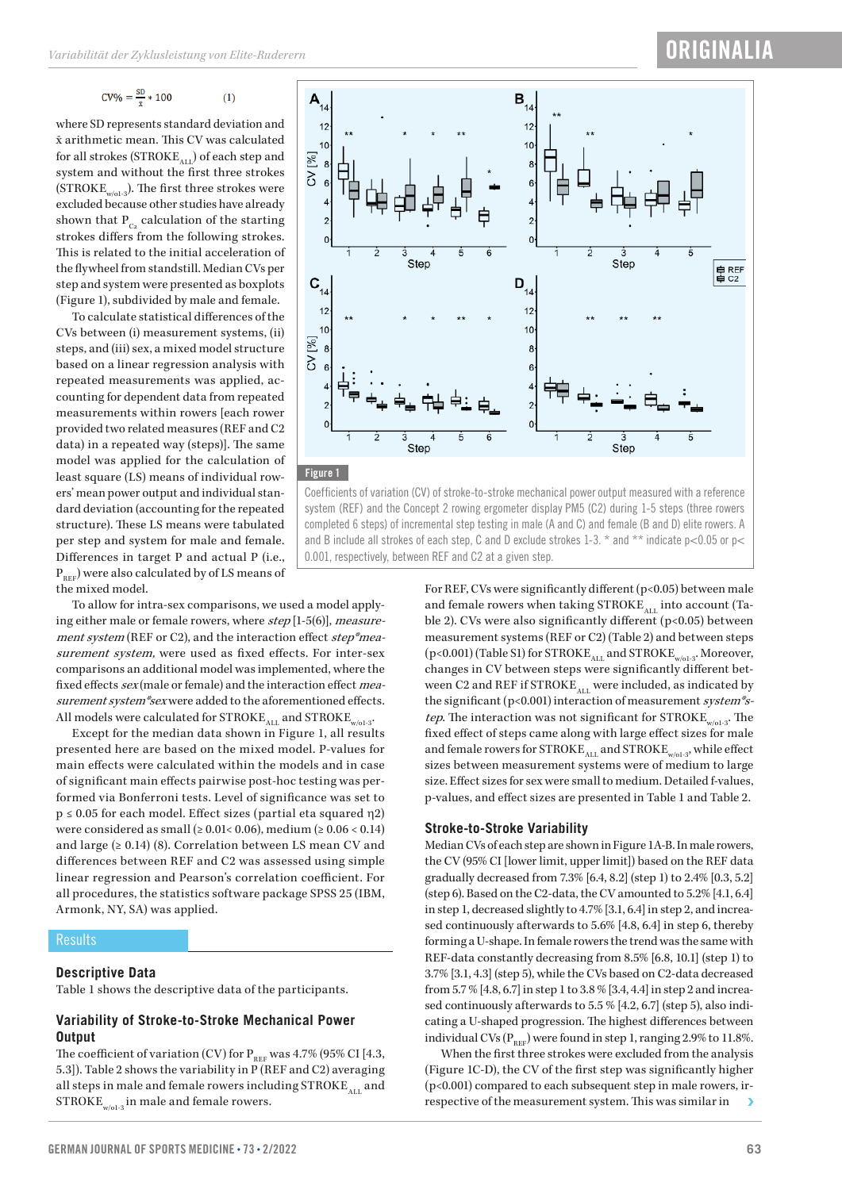$$
CV\% = \frac{SD}{n} * 100
$$
 (1)

where SD represents standard deviation and  $\bar{x}$  arithmetic mean. This CV was calculated for all strokes ( $STATE_{AII}$ ) of each step and system and without the first three strokes (STROKE<sub>w/o1-3</sub>). The first three strokes were excluded because other studies have already shown that  $P_{C_2}$  calculation of the starting strokes differs from the following strokes. This is related to the initial acceleration of the flywheel from standstill. Median CVs per step and system were presented as boxplots (Figure 1), subdivided by male and female.

To calculate statistical differences of the CVs between (i) measurement systems, (ii) steps, and (iii) sex, a mixed model structure based on a linear regression analysis with repeated measurements was applied, accounting for dependent data from repeated measurements within rowers [each rower provided two related measures (REF and C2 data) in a repeated way (steps)]. The same model was applied for the calculation of least square (LS) means of individual rowers' mean power output and individual standard deviation (accounting for the repeated structure). These LS means were tabulated per step and system for male and female. Differences in target P and actual P (i.e.,  $P_{REF}$ ) were also calculated by of LS means of the mixed model.

To allow for intra-sex comparisons, we used a model applying either male or female rowers, where step [1-5(6)], measurement system (REF or C2), and the interaction effect step\*measurement system, were used as fixed effects. For inter-sex comparisons an additional model was implemented, where the fixed effects sex (male or female) and the interaction effect measurement system\*sex were added to the aforementioned effects. All models were calculated for  $\mathrm{STROKE}_\mathrm{ALL}$  and  $\mathrm{STROKE}_\mathrm{w/ol-3}.$ 

Except for the median data shown in Figure 1, all results presented here are based on the mixed model. P-values for main effects were calculated within the models and in case of significant main effects pairwise post-hoc testing was performed via Bonferroni tests. Level of significance was set to p ≤ 0.05 for each model. Effect sizes (partial eta squared η2) were considered as small ( $\geq 0.01 < 0.06$ ), medium ( $\geq 0.06 < 0.14$ ) and large  $(≥ 0.14)$  (8). Correlation between LS mean CV and differences between REF and C2 was assessed using simple linear regression and Pearson's correlation coefficient. For all procedures, the statistics software package SPSS 25 (IBM, Armonk, NY, SA) was applied.

#### **Results**

#### **Descriptive Data**

Table 1 shows the descriptive data of the participants.

#### **Variability of Stroke-to-Stroke Mechanical Power Output**

The coefficient of variation (CV) for  $\rm P_{\rm REF}$  was 4.7% (95% CI [4.3, 5.3]). Table 2 shows the variability in P (REF and C2) averaging all steps in male and female rowers including  $\mathrm{STROKE}_\mathrm{ALL}$  and  $\mathrm{STROKE}_{\mathrm{w/o1\text{-}3}}$  in male and female rowers.





Coefficients of variation (CV) of stroke-to-stroke mechanical power output measured with a reference system (REF) and the Concept 2 rowing ergometer display PM5 (C2) during 1-5 steps (three rowers completed 6 steps) of incremental step testing in male (A and C) and female (B and D) elite rowers. A and B include all strokes of each step, C and D exclude strokes 1-3.  $*$  and  $**$  indicate p<0.05 or p< 0.001, respectively, between REF and C2 at a given step.

> For REF, CVs were significantly different (p<0.05) between male and female rowers when taking  $\text{STROKE}_{\text{ALL}}$  into account (Table 2). CVs were also significantly different (p<0.05) between measurement systems (REF or C2) (Table 2) and between steps  $(p<0.001)$  (Table S1) for STROKE<sub>ALL</sub> and STROKE<sub>w/o1-3</sub>. Moreover, changes in CV between steps were significantly different between C2 and REF if  $STROKE$ <sub>ALL</sub> were included, as indicated by the significant (p<0.001) interaction of measurement system\*step. The interaction was not significant for  $\mathrm{STROKE}_{\mathrm{w/o1-3}}$ . The fixed effect of steps came along with large effect sizes for male and female rowers for  $\mathrm{STROKE}_\mathrm{ALL}$  and  $\mathrm{STROKE}_\mathrm{w/ol-3},$  while effect sizes between measurement systems were of medium to large size. Effect sizes for sex were small to medium. Detailed f-values, p-values, and effect sizes are presented in Table 1 and Table 2.

#### **Stroke-to-Stroke Variability**

Median CVs of each step are shown in Figure 1A-B. In male rowers, the CV (95% CI [lower limit, upper limit]) based on the REF data gradually decreased from 7.3% [6.4, 8.2] (step 1) to 2.4% [0.3, 5.2] (step 6). Based on the C2-data, the CV amounted to 5.2% [4.1, 6.4] in step 1, decreased slightly to 4.7% [3.1, 6.4] in step 2, and increased continuously afterwards to 5.6% [4.8, 6.4] in step 6, thereby forming a U-shape. In female rowers the trend was the same with REF-data constantly decreasing from 8.5% [6.8, 10.1] (step 1) to 3.7% [3.1, 4.3] (step 5), while the CVs based on C2-data decreased from 5.7 % [4.8, 6.7] in step 1 to 3.8 % [3.4, 4.4] in step 2 and increased continuously afterwards to 5.5 % [4.2, 6.7] (step 5), also indicating a U-shaped progression. The highest differences between individual CVs  $(P_{REF}$ ) were found in step 1, ranging 2.9% to 11.8%.

When the first three strokes were excluded from the analysis (Figure 1C-D), the CV of the first step was significantly higher (p<0.001) compared to each subsequent step in male rowers, irrespective of the measurement system. This was similar in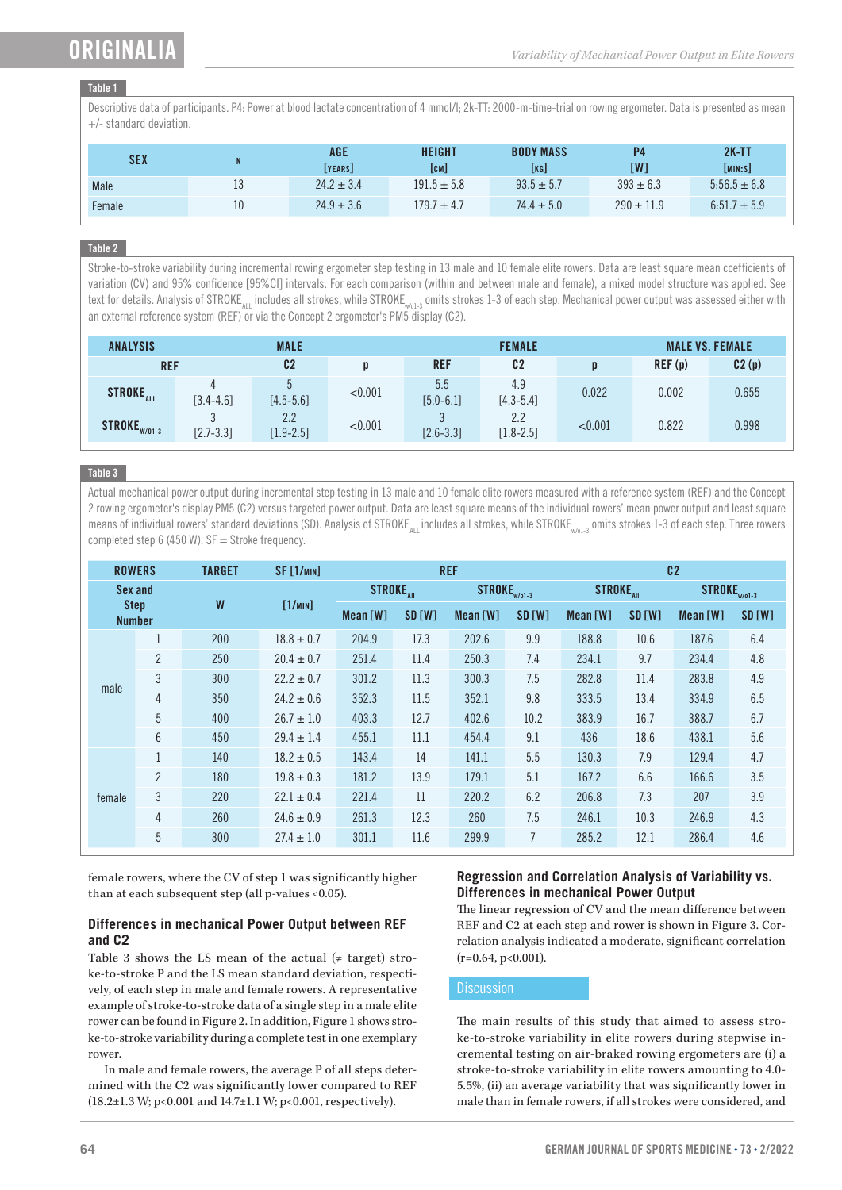# ORIGINALI

# Table 1

Descriptive data of participants. P4: Power at blood lactate concentration of 4 mmol/l; 2k-TT: 2000-m-time-trial on rowing ergometer. Data is presented as mean +/- standard deviation.

| <b>SEX</b> | N  | AGE<br>IYEARSI | <b>HEIGHT</b><br>[CM] | <b>BODY MASS</b><br>[KG] | rw1            | $2K-TT$<br>[MIN:S] |
|------------|----|----------------|-----------------------|--------------------------|----------------|--------------------|
| Male       | 13 | $24.2 \pm 3.4$ | $191.5 \pm 5.8$       | $93.5 \pm 5.7$           | $393 \pm 6.3$  | $5:56.5 \pm 6.8$   |
| Female     | 10 | $24.9 \pm 3.6$ | $179.7 \pm 4.7$       | $74.4 \pm 5.0$           | $290 \pm 11.9$ | $6:51.7 \pm 5.9$   |

# Table 2

Stroke-to-stroke variability during incremental rowing ergometer step testing in 13 male and 10 female elite rowers. Data are least square mean coefficients of variation (CV) and 95% confidence [95%CI] intervals. For each comparison (within and between male and female), a mixed model structure was applied. See text for details. Analysis of STROKE<sub>att</sub> includes all strokes, while STROKE<sub>w/o1-3</sub> omits strokes 1-3 of each step. Mechanical power output was assessed either with an external reference system (REF) or via the Concept 2 ergometer's PM5 display (C2).

| <b>ANALYSIS</b><br><b>MALE</b> |               |                      |         | <b>FEMALE</b>        | <b>MALE VS. FEMALE</b> |         |        |       |
|--------------------------------|---------------|----------------------|---------|----------------------|------------------------|---------|--------|-------|
| <b>REF</b>                     |               | C <sub>2</sub>       | D       | <b>REF</b>           | C <sub>2</sub>         |         | REF(p) | C2(p) |
| <b>STROKE<sub>ALL</sub></b>    | $[3.4 - 4.6]$ | $[4.5 - 5.6]$        | < 0.001 | 5.5<br>$[5.0 - 6.1]$ | 4.9<br>$[4.3 - 5.4]$   | 0.022   | 0.002  | 0.655 |
| STROKE <sub>W/01-3</sub>       | $[2.7 - 3.3]$ | 2.2<br>$[1.9 - 2.5]$ | < 0.001 | $[2.6 - 3.3]$        | 2.2<br>$[1.8 - 2.5]$   | < 0.001 | 0.822  | 0.998 |

# Table 3

Actual mechanical power output during incremental step testing in 13 male and 10 female elite rowers measured with a reference system (REF) and the Concept 2 rowing ergometer's display PM5 (C2) versus targeted power output. Data are least square means of the individual rowers' mean power output and least square means of individual rowers' standard deviations (SD). Analysis of STROKE<sub>an</sub> includes all strokes, while STROKE<sub>w/o1-3</sub> omits strokes 1-3 of each step. Three rowers completed step 6 (450 W).  $SF =$  Stroke frequency.

| <b>ROWERS</b>                           |                | <b>TARGET</b> | <b>SF [1/min]</b> |                              |       | <b>REF</b>               |                | C <sub>2</sub>              |        |                          |               |
|-----------------------------------------|----------------|---------------|-------------------|------------------------------|-------|--------------------------|----------------|-----------------------------|--------|--------------------------|---------------|
| Sex and<br><b>Step</b><br><b>Number</b> |                | W             | [1/mn]            | <b>STROKE</b> <sub>AII</sub> |       | STROKE <sub>W/01-3</sub> |                | <b>STROKE<sub>AII</sub></b> |        | STROKE <sub>W/01-3</sub> |               |
|                                         |                |               |                   | Mean[W]                      | SD[W] | Mean[W]                  | SD [W]         | Mean[W]                     | SD [W] | Mean[W]                  | <b>SD [W]</b> |
| male                                    | $\mathbf{1}$   | 200           | $18.8 \pm 0.7$    | 204.9                        | 17.3  | 202.6                    | 9.9            | 188.8                       | 10.6   | 187.6                    | 6.4           |
|                                         | $\overline{2}$ | 250           | $20.4 \pm 0.7$    | 251.4                        | 11.4  | 250.3                    | 7.4            | 234.1                       | 9.7    | 234.4                    | $4.8\,$       |
|                                         | 3              | 300           | $22.2 \pm 0.7$    | 301.2                        | 11.3  | 300.3                    | 7.5            | 282.8                       | 11.4   | 283.8                    | 4.9           |
|                                         | 4              | 350           | $24.2 \pm 0.6$    | 352.3                        | 11.5  | 352.1                    | 9.8            | 333.5                       | 13.4   | 334.9                    | 6.5           |
|                                         | 5              | 400           | $26.7 \pm 1.0$    | 403.3                        | 12.7  | 402.6                    | 10.2           | 383.9                       | 16.7   | 388.7                    | 6.7           |
|                                         | 6              | 450           | $29.4 \pm 1.4$    | 455.1                        | 11.1  | 454.4                    | 9.1            | 436                         | 18.6   | 438.1                    | 5.6           |
| female                                  | $\mathbf{1}$   | 140           | $18.2 \pm 0.5$    | 143.4                        | 14    | 141.1                    | 5.5            | 130.3                       | 7.9    | 129.4                    | 4.7           |
|                                         | $\overline{2}$ | 180           | $19.8 \pm 0.3$    | 181.2                        | 13.9  | 179.1                    | 5.1            | 167.2                       | 6.6    | 166.6                    | 3.5           |
|                                         | $\overline{3}$ | 220           | $22.1 \pm 0.4$    | 221.4                        | 11    | 220.2                    | 6.2            | 206.8                       | 7.3    | 207                      | 3.9           |
|                                         | 4              | 260           | $24.6 \pm 0.9$    | 261.3                        | 12.3  | 260                      | 7.5            | 246.1                       | 10.3   | 246.9                    | 4.3           |
|                                         | 5              | 300           | $27.4 \pm 1.0$    | 301.1                        | 11.6  | 299.9                    | $\overline{7}$ | 285.2                       | 12.1   | 286.4                    | 4.6           |

female rowers, where the CV of step 1 was significantly higher than at each subsequent step (all p-values <0.05).

# **Differences in mechanical Power Output between REF and C2**

Table 3 shows the LS mean of the actual  $($   $\neq$  target) stroke-to-stroke P and the LS mean standard deviation, respectively, of each step in male and female rowers. A representative example of stroke-to-stroke data of a single step in a male elite rower can be found in Figure 2. In addition, Figure 1 shows stroke-to-stroke variability during a complete test in one exemplary rower.

In male and female rowers, the average P of all steps determined with the C2 was significantly lower compared to REF (18.2±1.3 W; p<0.001 and 14.7±1.1 W; p<0.001, respectively).

# **Regression and Correlation Analysis of Variability vs. Differences in mechanical Power Output**

The linear regression of CV and the mean difference between REF and C2 at each step and rower is shown in Figure 3. Correlation analysis indicated a moderate, significant correlation  $(r=0.64, p<0.001)$ .

# **Discussion**

The main results of this study that aimed to assess stroke-to-stroke variability in elite rowers during stepwise incremental testing on air-braked rowing ergometers are (i) a stroke-to-stroke variability in elite rowers amounting to 4.0- 5.5%, (ii) an average variability that was significantly lower in male than in female rowers, if all strokes were considered, and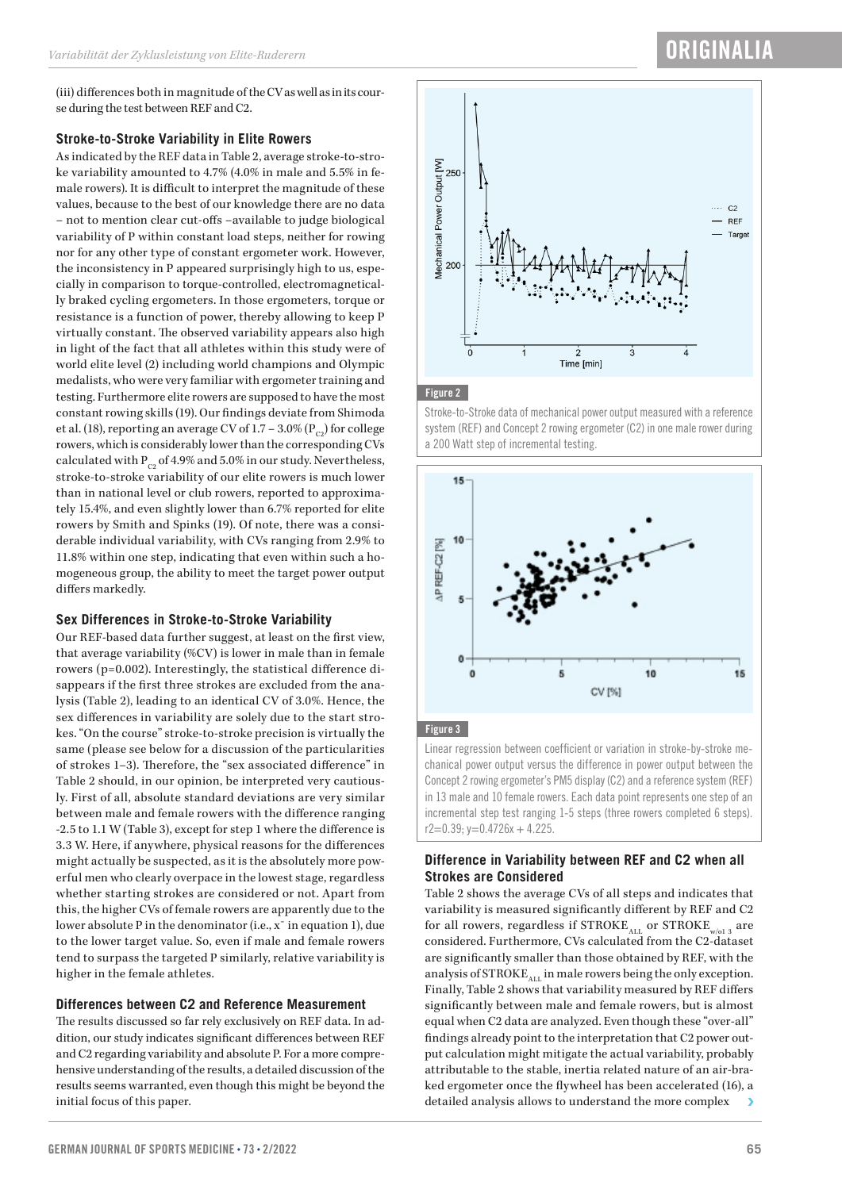# **ORIGINALIA**

(iii) differences both in magnitude of the CV as well as in its course during the test between REF and C2.

# **Stroke-to-Stroke Variability in Elite Rowers**

As indicated by the REF data in Table 2, average stroke-to-stroke variability amounted to 4.7% (4.0% in male and 5.5% in female rowers). It is difficult to interpret the magnitude of these values, because to the best of our knowledge there are no data – not to mention clear cut-offs –available to judge biological variability of P within constant load steps, neither for rowing nor for any other type of constant ergometer work. However, the inconsistency in P appeared surprisingly high to us, especially in comparison to torque-controlled, electromagnetically braked cycling ergometers. In those ergometers, torque or resistance is a function of power, thereby allowing to keep P virtually constant. The observed variability appears also high in light of the fact that all athletes within this study were of world elite level (2) including world champions and Olympic medalists, who were very familiar with ergometer training and testing. Furthermore elite rowers are supposed to have the most constant rowing skills (19). Our findings deviate from Shimoda et al. (18), reporting an average CV of 1.7 – 3.0% ( $P_{C2}$ ) for college rowers, which is considerably lower than the corresponding CVs calculated with  $P_{C2}$  of 4.9% and 5.0% in our study. Nevertheless, stroke-to-stroke variability of our elite rowers is much lower than in national level or club rowers, reported to approximately 15.4%, and even slightly lower than 6.7% reported for elite rowers by Smith and Spinks (19). Of note, there was a considerable individual variability, with CVs ranging from 2.9% to 11.8% within one step, indicating that even within such a homogeneous group, the ability to meet the target power output differs markedly.

# **Sex Differences in Stroke-to-Stroke Variability**

Our REF-based data further suggest, at least on the first view, that average variability (%CV) is lower in male than in female rowers (p=0.002). Interestingly, the statistical difference disappears if the first three strokes are excluded from the analysis (Table 2), leading to an identical CV of 3.0%. Hence, the sex differences in variability are solely due to the start strokes. "On the course" stroke-to-stroke precision is virtually the same (please see below for a discussion of the particularities of strokes 1–3). Therefore, the "sex associated difference" in Table 2 should, in our opinion, be interpreted very cautiously. First of all, absolute standard deviations are very similar between male and female rowers with the difference ranging -2.5 to 1.1 W (Table 3), except for step 1 where the difference is 3.3 W. Here, if anywhere, physical reasons for the differences might actually be suspected, as it is the absolutely more powerful men who clearly overpace in the lowest stage, regardless whether starting strokes are considered or not. Apart from this, the higher CVs of female rowers are apparently due to the lower absolute P in the denominator (i.e., xˉ in equation 1), due to the lower target value. So, even if male and female rowers tend to surpass the targeted P similarly, relative variability is higher in the female athletes.

# **Differences between C2 and Reference Measurement**

The results discussed so far rely exclusively on REF data. In addition, our study indicates significant differences between REF and C2 regarding variability and absolute P. For a more comprehensive understanding of the results, a detailed discussion of the results seems warranted, even though this might be beyond the initial focus of this paper.



#### Figure 2

Stroke-to-Stroke data of mechanical power output measured with a reference system (REF) and Concept 2 rowing ergometer (C2) in one male rower during a 200 Watt step of incremental testing.



# Figure 3

Linear regression between coefficient or variation in stroke-by-stroke mechanical power output versus the difference in power output between the Concept 2 rowing ergometer's PM5 display (C2) and a reference system (REF) in 13 male and 10 female rowers. Each data point represents one step of an incremental step test ranging 1-5 steps (three rowers completed 6 steps).  $r2=0.39; v=0.4726x + 4.225.$ 

# **Difference in Variability between REF and C2 when all Strokes are Considered**

Table 2 shows the average CVs of all steps and indicates that variability is measured significantly different by REF and C2 for all rowers, regardless if  $STROKE$ <sub>ALL</sub> or  $STROKE$ <sub>w/ol 3</sub> are considered. Furthermore, CVs calculated from the C2-dataset are significantly smaller than those obtained by REF, with the analysis of  $STATE_{ALL}$  in male rowers being the only exception. Finally, Table 2 shows that variability measured by REF differs significantly between male and female rowers, but is almost equal when C2 data are analyzed. Even though these "over-all" findings already point to the interpretation that C2 power output calculation might mitigate the actual variability, probably attributable to the stable, inertia related nature of an air-braked ergometer once the flywheel has been accelerated (16), a detailed analysis allows to understand the more complex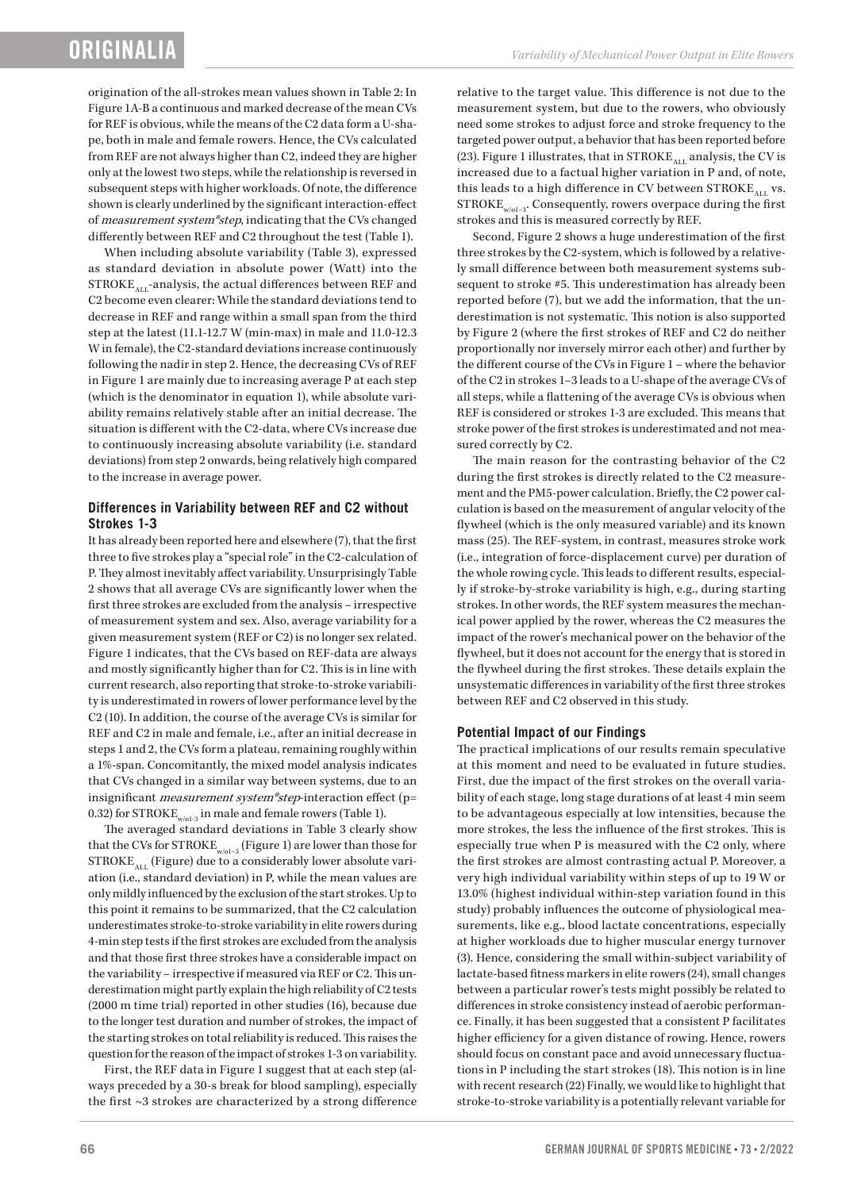origination of the all-strokes mean values shown in Table 2: In Figure 1A-B a continuous and marked decrease of the mean CVs for REF is obvious, while the means of the C2 data form a U-shape, both in male and female rowers. Hence, the CVs calculated from REF are not always higher than C2, indeed they are higher only at the lowest two steps, while the relationship is reversed in subsequent steps with higher workloads. Of note, the difference shown is clearly underlined by the significant interaction-effect of measurement system\*step, indicating that the CVs changed differently between REF and C2 throughout the test (Table 1).

When including absolute variability (Table 3), expressed as standard deviation in absolute power (Watt) into the  $STROKE_{ATI}$ -analysis, the actual differences between REF and C2 become even clearer: While the standard deviations tend to decrease in REF and range within a small span from the third step at the latest (11.1-12.7 W (min-max) in male and 11.0-12.3 W in female), the C2-standard deviations increase continuously following the nadir in step 2. Hence, the decreasing CVs of REF in Figure 1 are mainly due to increasing average P at each step (which is the denominator in equation 1), while absolute variability remains relatively stable after an initial decrease. The situation is different with the C2-data, where CVs increase due to continuously increasing absolute variability (i.e. standard deviations) from step 2 onwards, being relatively high compared to the increase in average power.

# **Differences in Variability between REF and C2 without Strokes 1-3**

It has already been reported here and elsewhere (7), that the first three to five strokes play a "special role" in the C2-calculation of P. They almost inevitably affect variability. Unsurprisingly Table 2 shows that all average CVs are significantly lower when the first three strokes are excluded from the analysis – irrespective of measurement system and sex. Also, average variability for a given measurement system (REF or C2) is no longer sex related. Figure 1 indicates, that the CVs based on REF-data are always and mostly significantly higher than for C2. This is in line with current research, also reporting that stroke-to-stroke variability is underestimated in rowers of lower performance level by the C2 (10). In addition, the course of the average CVs is similar for REF and C2 in male and female, i.e., after an initial decrease in steps 1 and 2, the CVs form a plateau, remaining roughly within a 1%-span. Concomitantly, the mixed model analysis indicates that CVs changed in a similar way between systems, due to an insignificant *measurement system\*step*-interaction effect (p= 0.32) for STROKE<sub>w/ol-3</sub> in male and female rowers (Table 1).

The averaged standard deviations in Table 3 clearly show that the CVs for STROKE<sub>w/o1-3</sub> (Figure 1) are lower than those for  $STROKE$ <sub>ALL</sub> (Figure) due to a considerably lower absolute variation (i.e., standard deviation) in P, while the mean values are only mildly influenced by the exclusion of the start strokes. Up to this point it remains to be summarized, that the C2 calculation underestimates stroke-to-stroke variability in elite rowers during 4-min step tests if the first strokes are excluded from the analysis and that those first three strokes have a considerable impact on the variability – irrespective if measured via REF or C2. This underestimation might partly explain the high reliability of C2 tests (2000 m time trial) reported in other studies (16), because due to the longer test duration and number of strokes, the impact of the starting strokes on total reliability is reduced. This raises the question for the reason of the impact of strokes 1-3 on variability.

First, the REF data in Figure 1 suggest that at each step (always preceded by a 30-s break for blood sampling), especially the first ~3 strokes are characterized by a strong difference relative to the target value. This difference is not due to the measurement system, but due to the rowers, who obviously need some strokes to adjust force and stroke frequency to the targeted power output, a behavior that has been reported before (23). Figure 1 illustrates, that in STROKE $_{\rm ALL}$  analysis, the CV is increased due to a factual higher variation in P and, of note, this leads to a high difference in CV between STROKE<sub>ALL</sub> vs.  $STROKE$ <sub>w/o1-3</sub>. Consequently, rowers overpace during the first strokes and this is measured correctly by REF.

Second, Figure 2 shows a huge underestimation of the first three strokes by the C2-system, which is followed by a relatively small difference between both measurement systems subsequent to stroke #5. This underestimation has already been reported before (7), but we add the information, that the underestimation is not systematic. This notion is also supported by Figure 2 (where the first strokes of REF and C2 do neither proportionally nor inversely mirror each other) and further by the different course of the CVs in Figure 1 – where the behavior of the C2 in strokes 1–3 leads to a U-shape of the average CVs of all steps, while a flattening of the average CVs is obvious when REF is considered or strokes 1-3 are excluded. This means that stroke power of the first strokes is underestimated and not measured correctly by C2.

The main reason for the contrasting behavior of the C2 during the first strokes is directly related to the C2 measurement and the PM5-power calculation. Briefly, the C2 power calculation is based on the measurement of angular velocity of the flywheel (which is the only measured variable) and its known mass (25). The REF-system, in contrast, measures stroke work (i.e., integration of force-displacement curve) per duration of the whole rowing cycle. This leads to different results, especially if stroke-by-stroke variability is high, e.g., during starting strokes. In other words, the REF system measures the mechanical power applied by the rower, whereas the C2 measures the impact of the rower's mechanical power on the behavior of the flywheel, but it does not account for the energy that is stored in the flywheel during the first strokes. These details explain the unsystematic differences in variability of the first three strokes between REF and C2 observed in this study.

# **Potential Impact of our Findings**

The practical implications of our results remain speculative at this moment and need to be evaluated in future studies. First, due the impact of the first strokes on the overall variability of each stage, long stage durations of at least 4 min seem to be advantageous especially at low intensities, because the more strokes, the less the influence of the first strokes. This is especially true when P is measured with the C2 only, where the first strokes are almost contrasting actual P. Moreover, a very high individual variability within steps of up to 19 W or 13.0% (highest individual within-step variation found in this study) probably influences the outcome of physiological measurements, like e.g., blood lactate concentrations, especially at higher workloads due to higher muscular energy turnover (3). Hence, considering the small within-subject variability of lactate-based fitness markers in elite rowers (24), small changes between a particular rower's tests might possibly be related to differences in stroke consistency instead of aerobic performance. Finally, it has been suggested that a consistent P facilitates higher efficiency for a given distance of rowing. Hence, rowers should focus on constant pace and avoid unnecessary fluctuations in P including the start strokes (18). This notion is in line with recent research (22) Finally, we would like to highlight that stroke-to-stroke variability is a potentially relevant variable for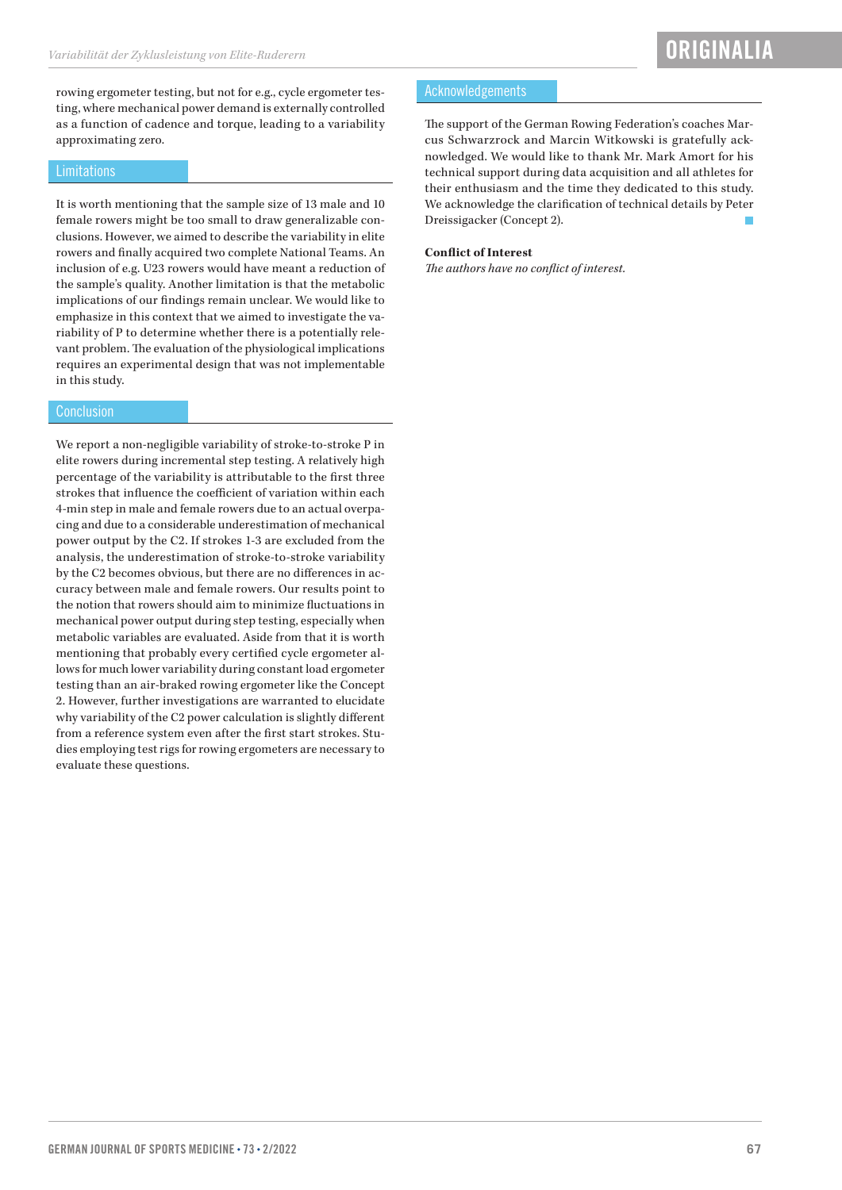rowing ergometer testing, but not for e.g., cycle ergometer testing, where mechanical power demand is externally controlled as a function of cadence and torque, leading to a variability approximating zero.

#### **Limitations**

It is worth mentioning that the sample size of 13 male and 10 female rowers might be too small to draw generalizable conclusions. However, we aimed to describe the variability in elite rowers and finally acquired two complete National Teams. An inclusion of e.g. U23 rowers would have meant a reduction of the sample's quality. Another limitation is that the metabolic implications of our findings remain unclear. We would like to emphasize in this context that we aimed to investigate the variability of P to determine whether there is a potentially relevant problem. The evaluation of the physiological implications requires an experimental design that was not implementable in this study.

#### **Conclusion**

We report a non-negligible variability of stroke-to-stroke P in elite rowers during incremental step testing. A relatively high percentage of the variability is attributable to the first three strokes that influence the coefficient of variation within each 4-min step in male and female rowers due to an actual overpacing and due to a considerable underestimation of mechanical power output by the C2. If strokes 1-3 are excluded from the analysis, the underestimation of stroke-to-stroke variability by the C2 becomes obvious, but there are no differences in accuracy between male and female rowers. Our results point to the notion that rowers should aim to minimize fluctuations in mechanical power output during step testing, especially when metabolic variables are evaluated. Aside from that it is worth mentioning that probably every certified cycle ergometer allows for much lower variability during constant load ergometer testing than an air-braked rowing ergometer like the Concept 2. However, further investigations are warranted to elucidate why variability of the C2 power calculation is slightly different from a reference system even after the first start strokes. Studies employing test rigs for rowing ergometers are necessary to evaluate these questions.

#### Acknowledgements

The support of the German Rowing Federation's coaches Marcus Schwarzrock and Marcin Witkowski is gratefully acknowledged. We would like to thank Mr. Mark Amort for his technical support during data acquisition and all athletes for their enthusiasm and the time they dedicated to this study. We acknowledge the clarification of technical details by Peter Dreissigacker (Concept 2).

#### **Conflict of Interest**

*The authors have no conflict of interest.*